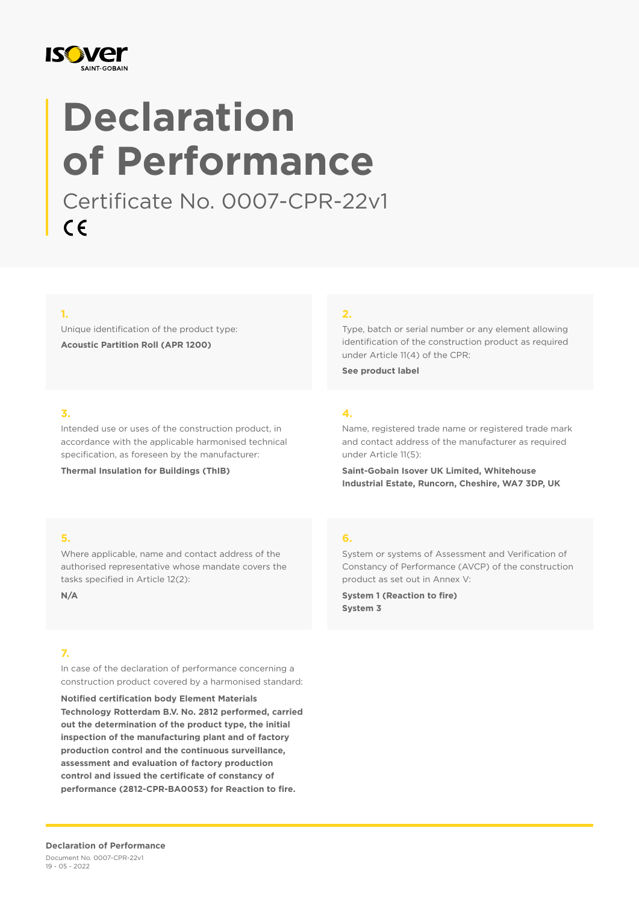

# **Declaration of Performance**

Certificate No. 0007-CPR-22v1  $C \in$ 

#### **1.**

Unique identification of the product type: **Acoustic Partition Roll (APR 1200)**

#### **2.**

Type, batch or serial number or any element allowing identification of the construction product as required under Article 11(4) of the CPR:

**See product label**

### **3.**

Intended use or uses of the construction product, in accordance with the applicable harmonised technical specification, as foreseen by the manufacturer:

**Thermal Insulation for Buildings (ThIB)**

## **4.**

Name, registered trade name or registered trade mark and contact address of the manufacturer as required under Article 11(5):

**Saint-Gobain Isover UK Limited, Whitehouse Industrial Estate, Runcorn, Cheshire, WA7 3DP, UK**

#### **5.**

Where applicable, name and contact address of the authorised representative whose mandate covers the tasks specified in Article 12(2):

**N/A**

#### **7.**

In case of the declaration of performance concerning a construction product covered by a harmonised standard:

**Notified certification body Element Materials Technology Rotterdam B.V. No. 2812 performed, carried out the determination of the product type, the initial inspection of the manufacturing plant and of factory production control and the continuous surveillance, assessment and evaluation of factory production control and issued the certificate of constancy of performance (2812-CPR-BA0053) for Reaction to fire.**

#### **6.**

System or systems of Assessment and Verification of Constancy of Performance (AVCP) of the construction product as set out in Annex V:

**System 1 (Reaction to fire) System 3**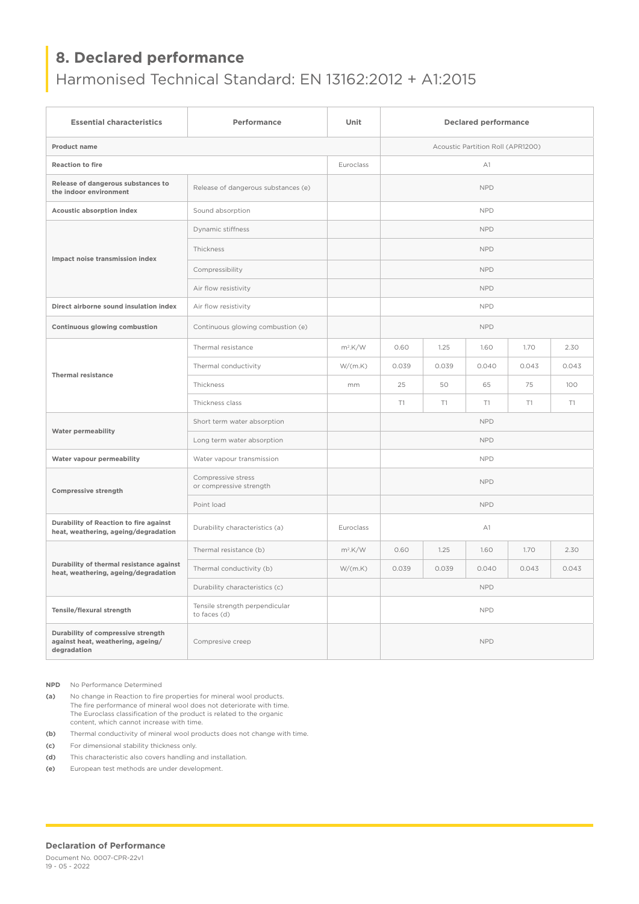# **8. Declared performance**

# Harmonised Technical Standard: EN 13162:2012 + A1:2015

| <b>Essential characteristics</b>                                                       | Performance                                    | Unit                              | <b>Declared performance</b> |       |       |       |       |
|----------------------------------------------------------------------------------------|------------------------------------------------|-----------------------------------|-----------------------------|-------|-------|-------|-------|
| Product name                                                                           |                                                | Acoustic Partition Roll (APR1200) |                             |       |       |       |       |
| <b>Reaction to fire</b>                                                                |                                                | Euroclass                         | A1                          |       |       |       |       |
| Release of dangerous substances to<br>the indoor environment                           | Release of dangerous substances (e)            |                                   | <b>NPD</b>                  |       |       |       |       |
| Acoustic absorption index                                                              | Sound absorption                               |                                   | <b>NPD</b>                  |       |       |       |       |
| Impact noise transmission index                                                        | Dynamic stiffness                              |                                   | <b>NPD</b>                  |       |       |       |       |
|                                                                                        | Thickness                                      |                                   | <b>NPD</b>                  |       |       |       |       |
|                                                                                        | Compressibility                                |                                   | <b>NPD</b>                  |       |       |       |       |
|                                                                                        | Air flow resistivity                           |                                   | <b>NPD</b>                  |       |       |       |       |
| Direct airborne sound insulation index                                                 | Air flow resistivity                           |                                   | <b>NPD</b>                  |       |       |       |       |
| Continuous glowing combustion                                                          | Continuous glowing combustion (e)              |                                   | <b>NPD</b>                  |       |       |       |       |
| <b>Thermal resistance</b>                                                              | Thermal resistance                             | $m^2$ .K/W                        | 0.60                        | 1.25  | 1.60  | 1.70  | 2.30  |
|                                                                                        | Thermal conductivity                           | W/(m.K)                           | 0.039                       | 0.039 | 0.040 | 0.043 | 0.043 |
|                                                                                        | Thickness                                      | mm                                | 25                          | 50    | 65    | 75    | 100   |
|                                                                                        | Thickness class                                |                                   | T1                          | T1    | T1    | T1    | T1    |
| Water permeability                                                                     | Short term water absorption                    |                                   | <b>NPD</b>                  |       |       |       |       |
|                                                                                        | Long term water absorption                     |                                   | <b>NPD</b>                  |       |       |       |       |
| Water vapour permeability                                                              | Water vapour transmission                      |                                   | <b>NPD</b>                  |       |       |       |       |
| <b>Compressive strength</b>                                                            | Compressive stress<br>or compressive strength  |                                   | <b>NPD</b>                  |       |       |       |       |
|                                                                                        | Point load                                     |                                   | <b>NPD</b>                  |       |       |       |       |
| Durability of Reaction to fire against<br>heat, weathering, ageing/degradation         | Durability characteristics (a)                 | Euroclass                         | A1                          |       |       |       |       |
| Durability of thermal resistance against<br>heat, weathering, ageing/degradation       | Thermal resistance (b)                         | $m^2$ .K/W                        | 0.60                        | 1.25  | 1.60  | 1.70  | 2.30  |
|                                                                                        | Thermal conductivity (b)                       | W/(m.K)                           | 0.039                       | 0.039 | 0.040 | 0.043 | 0.043 |
|                                                                                        | Durability characteristics (c)                 |                                   | <b>NPD</b>                  |       |       |       |       |
| Tensile/flexural strength                                                              | Tensile strength perpendicular<br>to faces (d) |                                   | <b>NPD</b>                  |       |       |       |       |
| Durability of compressive strength<br>against heat, weathering, ageing/<br>degradation | Compresive creep                               |                                   | <b>NPD</b>                  |       |       |       |       |

**NPD** No Performance Determined

**(a)** No change in Reaction to fire properties for mineral wool products. The fire performance of mineral wool does not deteriorate with time. The Euroclass classification of the product is related to the organic content, which cannot increase with time.

**(b)** Thermal conductivity of mineral wool products does not change with time.

**(c)** For dimensional stability thickness only.

**(d)** This characteristic also covers handling and installation.

**(e)** European test methods are under development.

#### **Declaration of Performance**

Document No. 0007-CPR-22v1 19 - 05 - 2022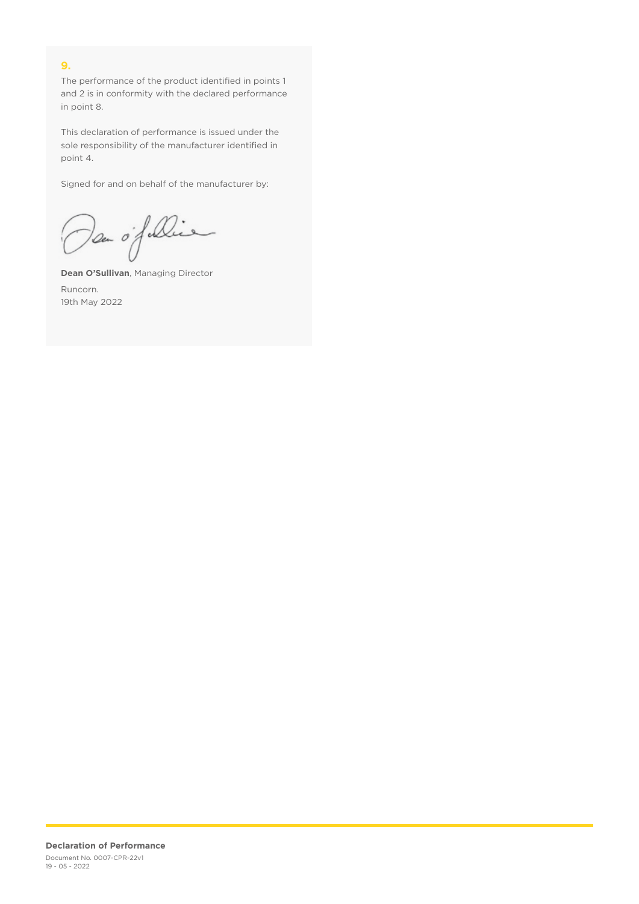## **9.**

The performance of the product identified in points 1 and 2 is in conformity with the declared performance in point 8.

This declaration of performance is issued under the sole responsibility of the manufacturer identified in point 4.

Signed for and on behalf of the manufacturer by:

Dan of Die

**Dean O'Sullivan**, Managing Director Runcorn. 19th May 2022